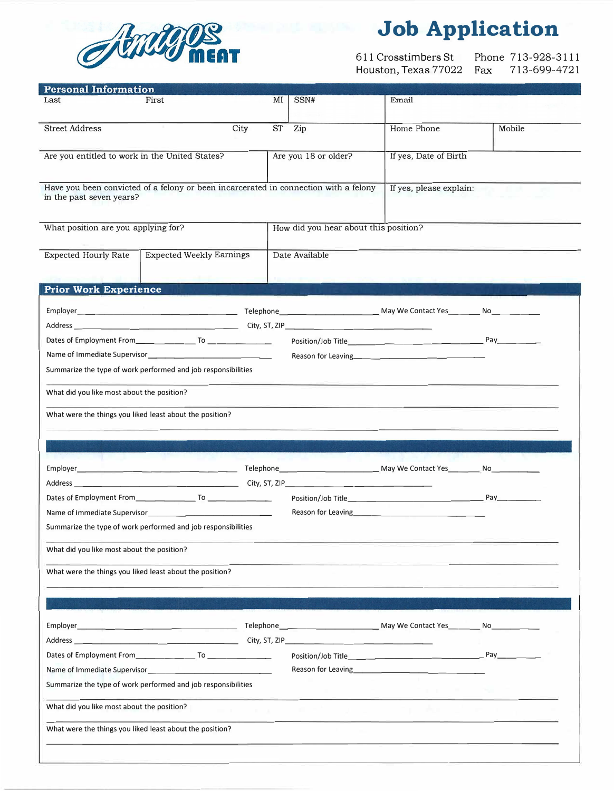

# **Job Application**

611 Crosstimbers St Houston, Texas 77022 Fax Phone 713-928-3111 Fax 713-699-4721

| <b>Personal Information</b>                                                                                                                                                                                                    |                                                                                      |      |                                       |                      |                                                                                                                                                                                                                                 |        |  |
|--------------------------------------------------------------------------------------------------------------------------------------------------------------------------------------------------------------------------------|--------------------------------------------------------------------------------------|------|---------------------------------------|----------------------|---------------------------------------------------------------------------------------------------------------------------------------------------------------------------------------------------------------------------------|--------|--|
| Last                                                                                                                                                                                                                           | First                                                                                |      | MI                                    | SSN#                 | Email                                                                                                                                                                                                                           |        |  |
| <b>Street Address</b>                                                                                                                                                                                                          |                                                                                      | City | <b>ST</b>                             | Zip                  | Home Phone                                                                                                                                                                                                                      | Mobile |  |
| Are you entitled to work in the United States?                                                                                                                                                                                 |                                                                                      |      |                                       | Are you 18 or older? | If yes, Date of Birth                                                                                                                                                                                                           |        |  |
| in the past seven years?                                                                                                                                                                                                       | Have you been convicted of a felony or been incarcerated in connection with a felony |      |                                       |                      | If yes, please explain:                                                                                                                                                                                                         |        |  |
|                                                                                                                                                                                                                                |                                                                                      |      |                                       |                      |                                                                                                                                                                                                                                 |        |  |
| What position are you applying for?                                                                                                                                                                                            |                                                                                      |      | How did you hear about this position? |                      |                                                                                                                                                                                                                                 |        |  |
| <b>Expected Hourly Rate</b>                                                                                                                                                                                                    | <b>Expected Weekly Earnings</b>                                                      |      |                                       | Date Available       |                                                                                                                                                                                                                                 |        |  |
| <b>Prior Work Experience</b>                                                                                                                                                                                                   |                                                                                      |      |                                       |                      |                                                                                                                                                                                                                                 |        |  |
|                                                                                                                                                                                                                                |                                                                                      |      |                                       |                      |                                                                                                                                                                                                                                 |        |  |
|                                                                                                                                                                                                                                |                                                                                      |      |                                       |                      |                                                                                                                                                                                                                                 |        |  |
|                                                                                                                                                                                                                                |                                                                                      |      |                                       |                      |                                                                                                                                                                                                                                 |        |  |
|                                                                                                                                                                                                                                |                                                                                      |      |                                       |                      | Reason for Leaving<br>expression to the same and the same state of the same state of the same state of the same state of the same state of the same state of the same state of the state of the state of the state of the state |        |  |
| Summarize the type of work performed and job responsibilities                                                                                                                                                                  |                                                                                      |      |                                       |                      |                                                                                                                                                                                                                                 |        |  |
| What did you like most about the position?                                                                                                                                                                                     |                                                                                      |      |                                       |                      |                                                                                                                                                                                                                                 |        |  |
|                                                                                                                                                                                                                                |                                                                                      |      |                                       |                      |                                                                                                                                                                                                                                 |        |  |
| What were the things you liked least about the position?                                                                                                                                                                       |                                                                                      |      |                                       |                      |                                                                                                                                                                                                                                 |        |  |
|                                                                                                                                                                                                                                |                                                                                      |      |                                       |                      |                                                                                                                                                                                                                                 |        |  |
|                                                                                                                                                                                                                                |                                                                                      |      |                                       |                      |                                                                                                                                                                                                                                 |        |  |
|                                                                                                                                                                                                                                |                                                                                      |      |                                       |                      |                                                                                                                                                                                                                                 |        |  |
|                                                                                                                                                                                                                                |                                                                                      |      |                                       |                      |                                                                                                                                                                                                                                 |        |  |
|                                                                                                                                                                                                                                |                                                                                      |      |                                       |                      |                                                                                                                                                                                                                                 |        |  |
| Name of Immediate Supervisor Name Contract Contract Contract Contract Contract Contract Contract Contract Contract Contract Contract Contract Contract Contract Contract Contract Contract Contract Contract Contract Contract |                                                                                      |      |                                       |                      |                                                                                                                                                                                                                                 |        |  |
| Summarize the type of work performed and job responsibilities                                                                                                                                                                  |                                                                                      |      |                                       |                      |                                                                                                                                                                                                                                 |        |  |
| What did you like most about the position?                                                                                                                                                                                     |                                                                                      |      |                                       |                      |                                                                                                                                                                                                                                 |        |  |
| What were the things you liked least about the position?                                                                                                                                                                       |                                                                                      |      |                                       |                      |                                                                                                                                                                                                                                 |        |  |
|                                                                                                                                                                                                                                |                                                                                      |      |                                       |                      |                                                                                                                                                                                                                                 |        |  |
|                                                                                                                                                                                                                                |                                                                                      |      |                                       |                      |                                                                                                                                                                                                                                 |        |  |
|                                                                                                                                                                                                                                |                                                                                      |      |                                       |                      |                                                                                                                                                                                                                                 |        |  |
|                                                                                                                                                                                                                                |                                                                                      |      |                                       |                      |                                                                                                                                                                                                                                 |        |  |
|                                                                                                                                                                                                                                |                                                                                      |      |                                       |                      | Position/Job Title Pay                                                                                                                                                                                                          |        |  |
|                                                                                                                                                                                                                                |                                                                                      |      |                                       |                      | Reason for Leaving <b>Example 2018 Reason</b> for Leaving                                                                                                                                                                       |        |  |
| Summarize the type of work performed and job responsibilities                                                                                                                                                                  |                                                                                      |      |                                       |                      |                                                                                                                                                                                                                                 |        |  |
| What did you like most about the position?                                                                                                                                                                                     |                                                                                      |      |                                       |                      |                                                                                                                                                                                                                                 |        |  |
|                                                                                                                                                                                                                                | What were the things you liked least about the position?                             |      |                                       |                      |                                                                                                                                                                                                                                 |        |  |
|                                                                                                                                                                                                                                |                                                                                      |      |                                       |                      |                                                                                                                                                                                                                                 |        |  |
|                                                                                                                                                                                                                                |                                                                                      |      |                                       |                      |                                                                                                                                                                                                                                 |        |  |